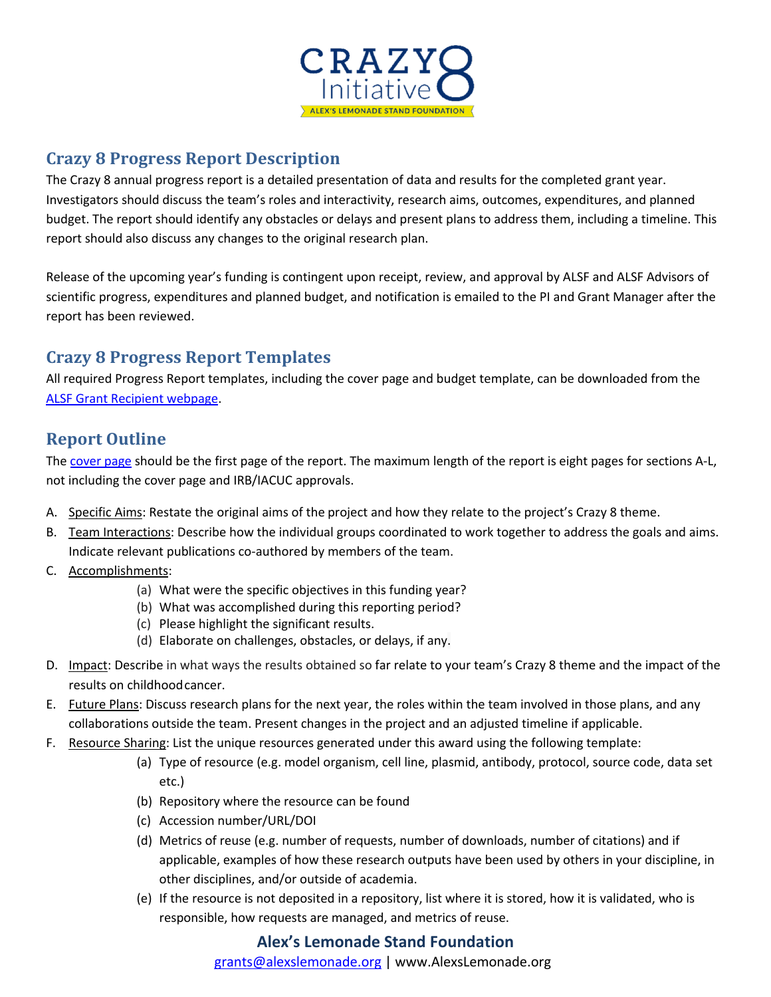

## **Crazy 8 Progress Report Description**

The Crazy 8 annual progress report is a detailed presentation of data and results for the completed grant year. Investigators should discuss the team's roles and interactivity, research aims, outcomes, expenditures, and planned budget. The report should identify any obstacles or delays and present plans to address them, including a timeline. This report should also discuss any changes to the original research plan.

Release of the upcoming year's funding is contingent upon receipt, review, and approval by ALSF and ALSF Advisors of scientific progress, expenditures and planned budget, and notification is emailed to the PI and Grant Manager after the report has been reviewed.

# **Crazy 8 Progress Report Templates**

All required Progress Report templates, including the cover page and budget template, can be downloaded from the ALSF Grant Recipient webpage.

## **Report Outline**

The cover page should be the first page of the report. The maximum length of the report is eight pages for sections A-L, not including the cover page and IRB/IACUC approvals.

- A. Specific Aims: Restate the original aims of the project and how they relate to the project's Crazy 8 theme.
- B. Team Interactions: Describe how the individual groups coordinated to work together to address the goals and aims. Indicate relevant publications co-authored by members of the team.
- C. Accomplishments:
	- (a) What were the specific objectives in this funding year?
	- (b) What was accomplished during this reporting period?
	- (c) Please highlight the significant results.
	- (d) Elaborate on challenges, obstacles, or delays, if any.
- D. Impact: Describe in what ways the results obtained so far relate to your team's Crazy 8 theme and the impact of the results on childhoodcancer.
- E. Future Plans: Discuss research plans for the next year, the roles within the team involved in those plans, and any collaborations outside the team. Present changes in the project and an adjusted timeline if applicable.
- F. Resource Sharing: List the unique resources generated under this award using the following template:
	- (a) Type of resource (e.g. model organism, cell line, plasmid, antibody, protocol, source code, data set etc.)
	- (b) Repository where the resource can be found
	- (c) Accession number/URL/DOI
	- (d) Metrics of reuse (e.g. number of requests, number of downloads, number of citations) and if applicable, examples of how these research outputs have been used by others in your discipline, in other disciplines, and/or outside of academia.
	- (e) If the resource is not deposited in a repository, list where it is stored, how it is validated, who is responsible, how requests are managed, and metrics of reuse.

#### **Alex's Lemonade Stand Foundation**

grants@alexslemonade.org | www.AlexsLemonade.org